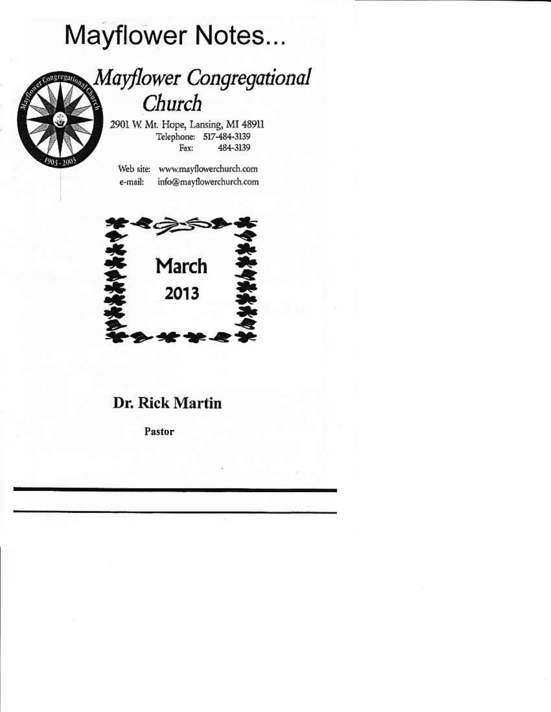# **Mayflower Notes...**

# **Mayflower Congregational** egan. Church

2901 W. Mt. Hope, Lansing, MI 48911 Telephone: 517-484-3139 484-3139 Fax:

Web site: www.mayflowerchurch.com info@mayflowerchurch.com e-mail:



## Dr. Rick Martin

Pastor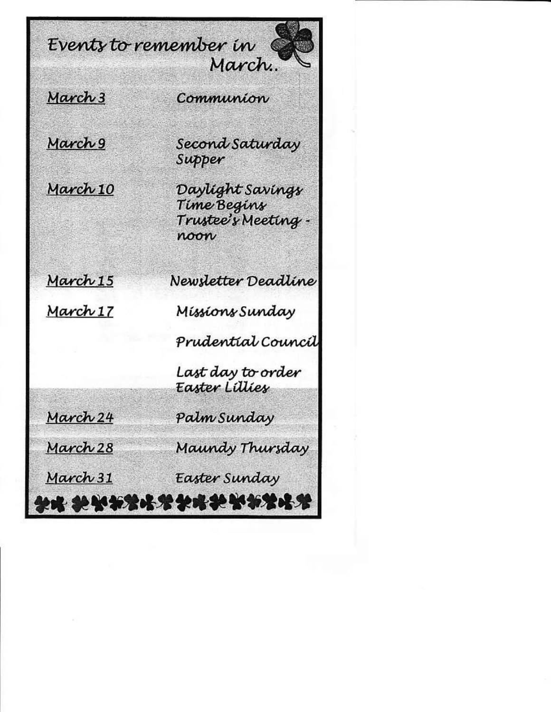March 3

Communion

Events to remember in

March 9



March 15

March 17

March 24

March 28

March 31

Second Saturday Supper

March.

Daylight Savings Time Begins Trustee's Meeting roon

Newsletter Deadline

Míssíons Sunday

Prudential Council

Last day to order<br>Easter Lillies

Palm Sunday

Maundy Thursday

Easter Sunday

\*\*\*\*\*\*\*\*\*\*\*\*\*\*\*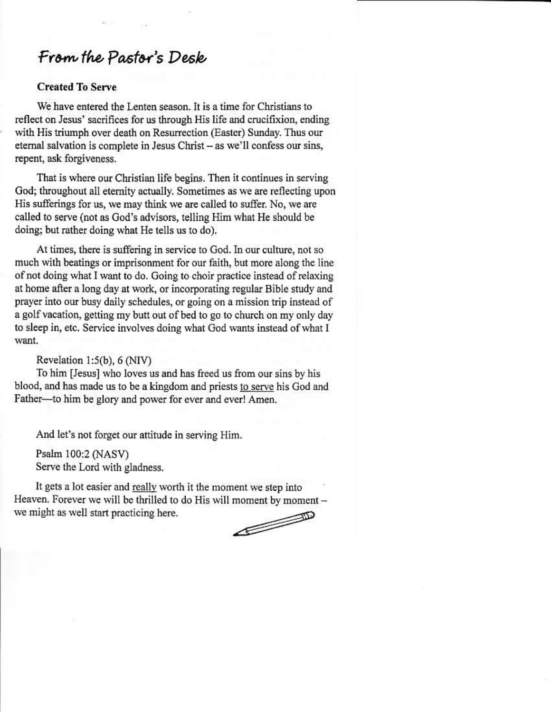# From the Pastor's Desk

#### **Created To Serve**

We have entered the Lenten season. It is a time for Christians to reflect on Jesus' sacrifices for us through His life and crucifixion, ending with His triumph over death on Resurrection (Easter) Sunday. Thus our eternal salvation is complete in Jesus Christ - as we'll confess our sins, repent, ask forgiveness.

That is where our Christian life begins. Then it continues in serving God; throughout all eternity actually. Sometimes as we are reflecting upon His sufferings for us, we may think we are called to suffer. No, we are called to serve (not as God's advisors, telling Him what He should be doing; but rather doing what He tells us to do).

At times, there is suffering in service to God. In our culture, not so much with beatings or imprisonment for our faith, but more along the line of not doing what I want to do. Going to choir practice instead of relaxing at home after a long day at work, or incorporating regular Bible study and prayer into our busy daily schedules, or going on a mission trip instead of a golf vacation, getting my butt out of bed to go to church on my only day to sleep in, etc. Service involves doing what God wants instead of what I want.

#### Revelation  $1:5(b)$ , 6 (NIV)

To him [Jesus] who loves us and has freed us from our sins by his blood, and has made us to be a kingdom and priests to serve his God and Father--- to him be glory and power for ever and ever! Amen.

And let's not forget our attitude in serving Him.

Psalm 100:2 (NASV) Serve the Lord with gladness.

It gets a lot easier and really worth it the moment we step into Heaven. Forever we will be thrilled to do His will moment by moment we might as well start practicing here.

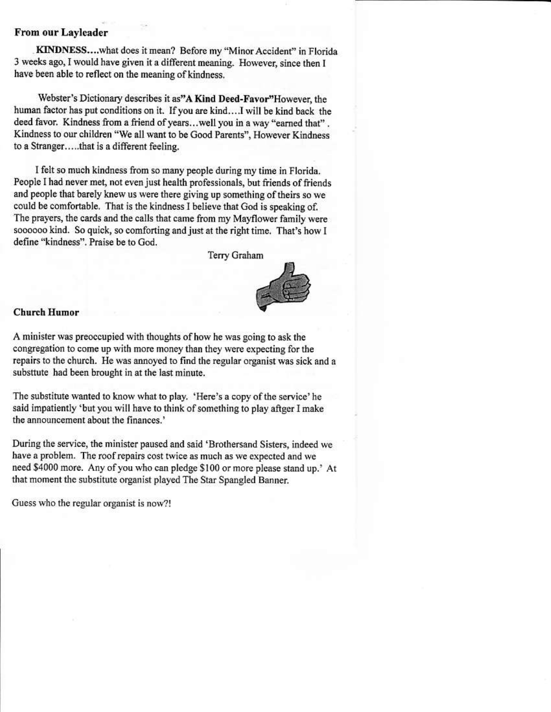#### From our Layleader

KINDNESS....what does it mean? Before my "Minor Accident" in Florida 3 weeks ago, I would have given it a different meaning. However, since then I have been able to reflect on the meaning of kindness.

Webster's Dictionary describes it as"A Kind Deed-Favor"However, the human factor has put conditions on it. If you are kind....I will be kind back the deed favor. Kindness from a friend of years...well you in a way "earned that". Kindness to our children "We all want to be Good Parents", However Kindness to a Stranger.....that is a different feeling.

I felt so much kindness from so many people during my time in Florida. People I had never met, not even just health professionals, but friends of friends and people that barely knew us were there giving up something of theirs so we could be comfortable. That is the kindness I believe that God is speaking of. The prayers, the cards and the calls that came from my Mayflower family were soooooo kind. So quick, so comforting and just at the right time. That's how I define "kindness". Praise be to God.

Terry Graham



#### **Church Humor**

A minister was preoccupied with thoughts of how he was going to ask the congregation to come up with more money than they were expecting for the repairs to the church. He was annoyed to find the regular organist was sick and a substtute had been brought in at the last minute.

The substitute wanted to know what to play. 'Here's a copy of the service' he said impatiently 'but you will have to think of something to play aftger I make the announcement about the finances.'

During the service, the minister paused and said 'Brothersand Sisters, indeed we have a problem. The roof repairs cost twice as much as we expected and we need \$4000 more. Any of you who can pledge \$100 or more please stand up.' At that moment the substitute organist played The Star Spangled Banner.

Guess who the regular organist is now?!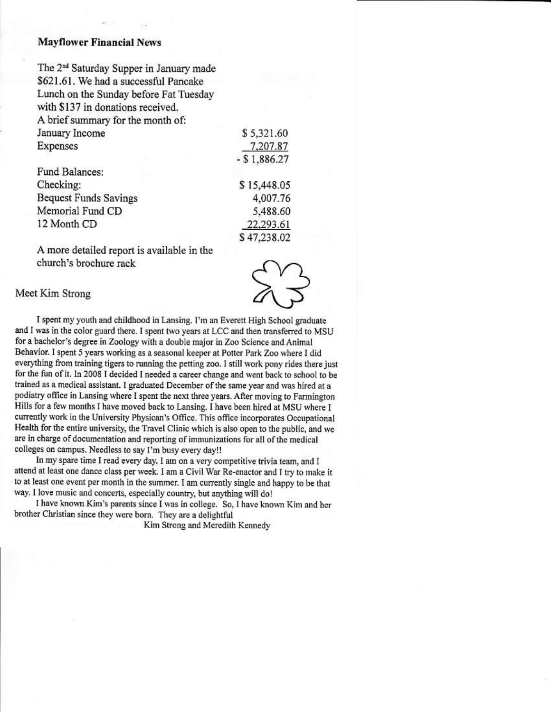#### **Mayflower Financial News**

The 2<sup>nd</sup> Saturday Supper in January made \$621.61. We had a successful Pancake Lunch on the Sunday before Fat Tuesday with \$137 in donations received. A brief summary for the month of: January Income **Expenses**  $- $1,886.27$ 

Fund Balances: Checking: **Bequest Funds Savings** Memorial Fund CD 12 Month CD

A more detailed report is available in the church's brochure rack

\$5,321.60

\$15,448.05

4,007.76

5,488.60

22,293.61 \$47,238.02

7,207.87

Meet Kim Strong

I spent my youth and childhood in Lansing. I'm an Everett High School graduate and I was in the color guard there. I spent two years at LCC and then transferred to MSU for a bachelor's degree in Zoology with a double major in Zoo Science and Animal Behavior. I spent 5 years working as a seasonal keeper at Potter Park Zoo where I did everything from training tigers to running the petting zoo. I still work pony rides there just for the fun of it. In 2008 I decided I needed a career change and went back to school to be trained as a medical assistant. I graduated December of the same year and was hired at a podiatry office in Lansing where I spent the next three years. After moving to Farmington Hills for a few months I have moved back to Lansing. I have been hired at MSU where I currently work in the University Physican's Office. This office incorporates Occupational Health for the entire university, the Travel Clinic which is also open to the public, and we are in charge of documentation and reporting of immunizations for all of the medical colleges on campus. Needless to say I'm busy every day!!

In my spare time I read every day. I am on a very competitive trivia team, and I attend at least one dance class per week. I am a Civil War Re-enactor and I try to make it to at least one event per month in the summer. I am currently single and happy to be that way. I love music and concerts, especially country, but anything will do!

I have known Kim's parents since I was in college. So, I have known Kim and her brother Christian since they were born. They are a delightful

Kim Strong and Meredith Kennedy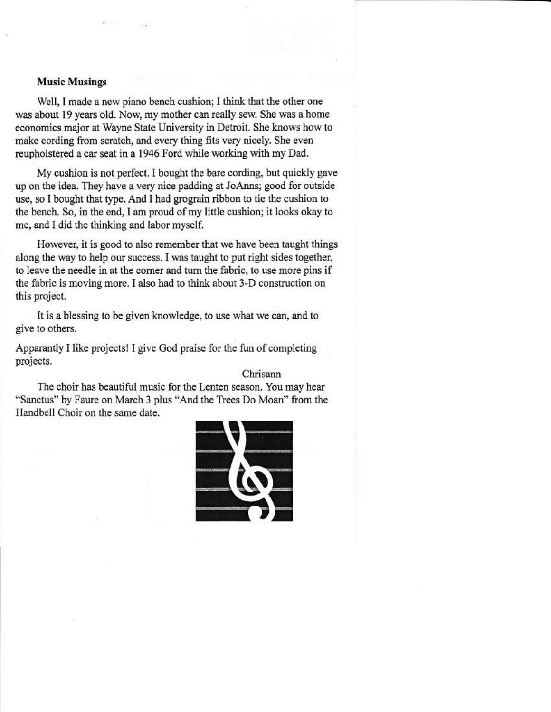#### **Music Musings**

Well, I made a new piano bench cushion; I think that the other one was about 19 years old. Now, my mother can really sew. She was a home economics major at Wayne State University in Detroit. She knows how to make cording from scratch, and every thing fits very nicely. She even reupholstered a car seat in a 1946 Ford while working with my Dad.

My cushion is not perfect. I bought the bare cording, but quickly gave up on the idea. They have a very nice padding at JoAnns; good for outside use, so I bought that type. And I had grograin ribbon to tie the cushion to the bench. So, in the end, I am proud of my little cushion; it looks okay to me, and I did the thinking and labor myself.

However, it is good to also remember that we have been taught things along the way to help our success. I was taught to put right sides together, to leave the needle in at the corner and turn the fabric, to use more pins if the fabric is moving more. I also had to think about 3-D construction on this project.

It is a blessing to be given knowledge, to use what we can, and to give to others.

Apparantly I like projects! I give God praise for the fun of completing projects.

Chrisann

The choir has beautiful music for the Lenten season. You may hear "Sanctus" by Faure on March 3 plus "And the Trees Do Moan" from the Handbell Choir on the same date.

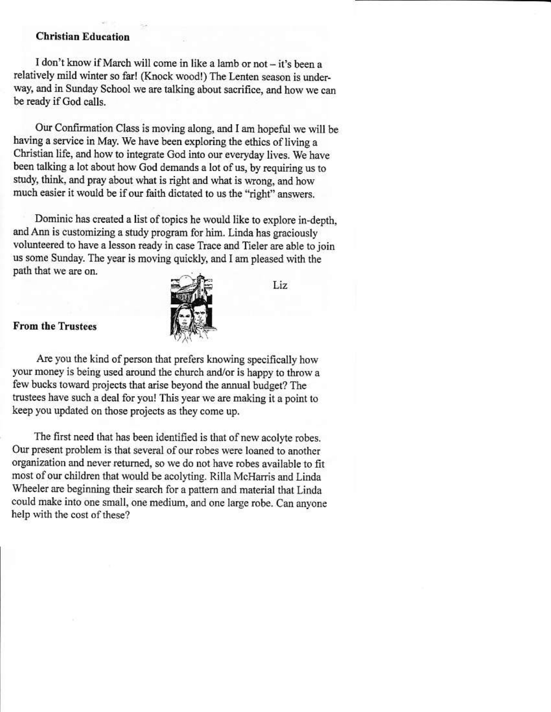#### **Christian Education**

I don't know if March will come in like a lamb or not - it's been a relatively mild winter so far! (Knock wood!) The Lenten season is underway, and in Sunday School we are talking about sacrifice, and how we can be ready if God calls.

Our Confirmation Class is moving along, and I am hopeful we will be having a service in May. We have been exploring the ethics of living a Christian life, and how to integrate God into our everyday lives. We have been talking a lot about how God demands a lot of us, by requiring us to study, think, and pray about what is right and what is wrong, and how much easier it would be if our faith dictated to us the "right" answers.

Dominic has created a list of topics he would like to explore in-depth. and Ann is customizing a study program for him. Linda has graciously volunteered to have a lesson ready in case Trace and Tieler are able to join us some Sunday. The year is moving quickly, and I am pleased with the path that we are on.



Liz

#### **From the Trustees**

Are you the kind of person that prefers knowing specifically how your money is being used around the church and/or is happy to throw a few bucks toward projects that arise beyond the annual budget? The trustees have such a deal for you! This year we are making it a point to keep you updated on those projects as they come up.

The first need that has been identified is that of new acolyte robes. Our present problem is that several of our robes were loaned to another organization and never returned, so we do not have robes available to fit most of our children that would be acolyting. Rilla McHarris and Linda Wheeler are beginning their search for a pattern and material that Linda could make into one small, one medium, and one large robe. Can anyone help with the cost of these?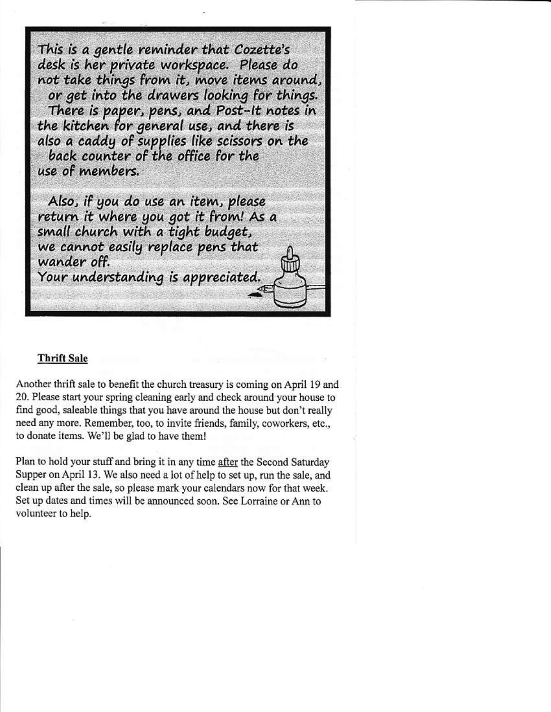This is a gentle reminder that Cozette's desk is her private workspace. Please do not take things from it, move items around, or get into the drawers looking for things. There is paper, pens, and Post-It notes in the kitchen for general use, and there is also a caddy of supplies like scissors on the back counter of the office for the use of members. Also, if you do use an item, please return it where you got it from! As a small church with a tight budget, we cannot easily replace pens that wander off. Your understanding is appreciated.

#### **Thrift Sale**

Another thrift sale to benefit the church treasury is coming on April 19 and 20. Please start your spring cleaning early and check around your house to find good, saleable things that you have around the house but don't really need any more. Remember, too, to invite friends, family, coworkers, etc., to donate items. We'll be glad to have them!

Plan to hold your stuff and bring it in any time after the Second Saturday Supper on April 13. We also need a lot of help to set up, run the sale, and clean up after the sale, so please mark your calendars now for that week. Set up dates and times will be announced soon. See Lorraine or Ann to volunteer to help.